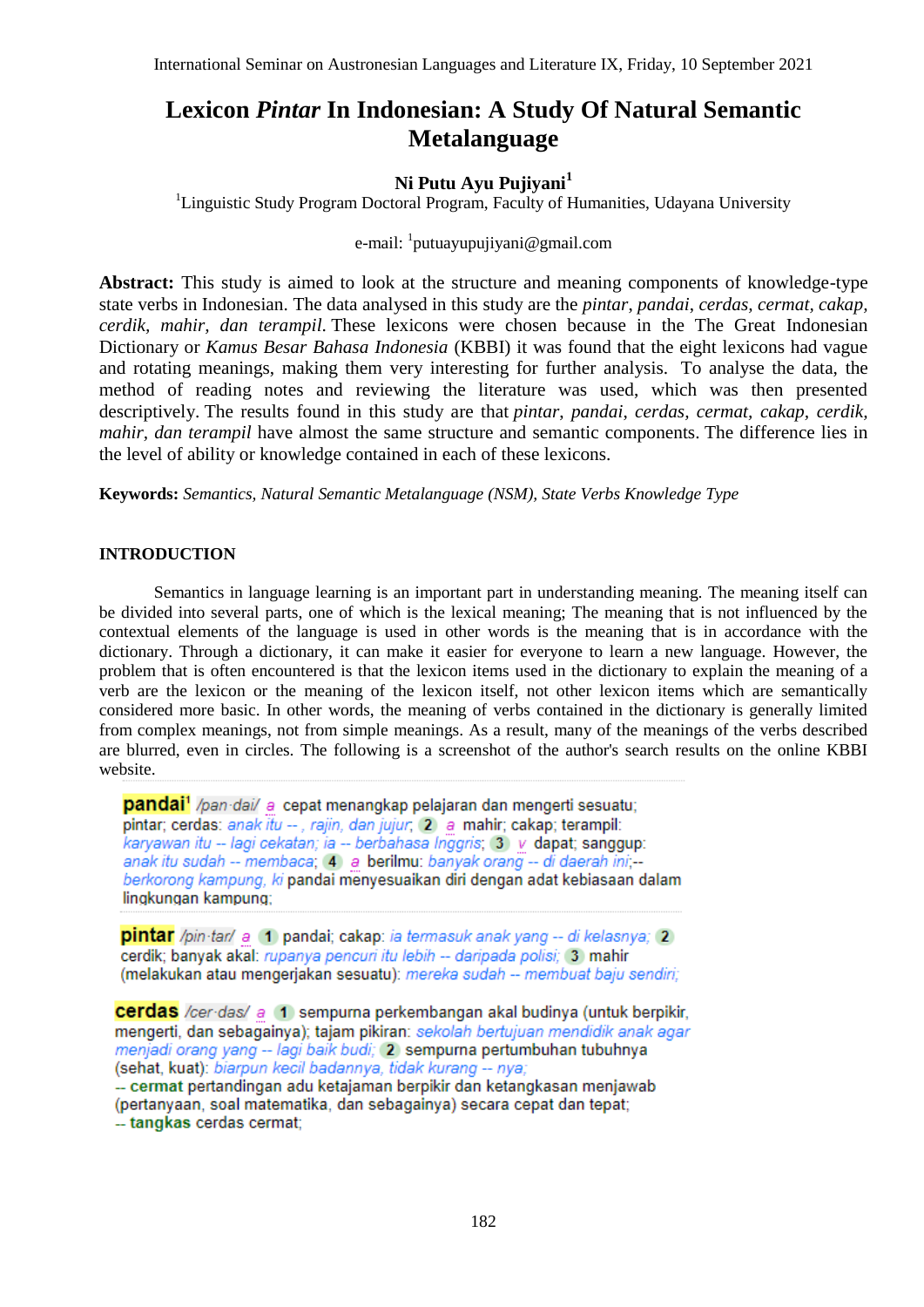# **Lexicon** *Pintar* **In Indonesian: A Study Of Natural Semantic Metalanguage**

# **Ni Putu Ayu Pujiyani<sup>1</sup>**

<sup>1</sup>Linguistic Study Program Doctoral Program, Faculty of Humanities, Udayana University

## e-mail: <sup>1</sup>[putuayupujiyani@gmail.com](mailto:putuayupujiyani@gmail.com)

**Abstract:** This study is aimed to look at the structure and meaning components of knowledge-type state verbs in Indonesian. The data analysed in this study are the *pintar*, *pandai*, *cerdas, cermat, cakap, cerdik, mahir, dan terampil*. These lexicons were chosen because in the The Great Indonesian Dictionary or *Kamus Besar Bahasa Indonesia* (KBBI) it was found that the eight lexicons had vague and rotating meanings, making them very interesting for further analysis. To analyse the data, the method of reading notes and reviewing the literature was used, which was then presented descriptively. The results found in this study are that *pintar*, *pandai*, *cerdas, cermat, cakap, cerdik, mahir, dan terampil* have almost the same structure and semantic components. The difference lies in the level of ability or knowledge contained in each of these lexicons.

**Keywords:** *Semantics, Natural Semantic Metalanguage (NSM), State Verbs Knowledge Type*

## **INTRODUCTION**

Semantics in language learning is an important part in understanding meaning. The meaning itself can be divided into several parts, one of which is the lexical meaning; The meaning that is not influenced by the contextual elements of the language is used in other words is the meaning that is in accordance with the dictionary. Through a dictionary, it can make it easier for everyone to learn a new language. However, the problem that is often encountered is that the lexicon items used in the dictionary to explain the meaning of a verb are the lexicon or the meaning of the lexicon itself, not other lexicon items which are semantically considered more basic. In other words, the meaning of verbs contained in the dictionary is generally limited from complex meanings, not from simple meanings. As a result, many of the meanings of the verbs described are blurred, even in circles. The following is a screenshot of the author's search results on the online KBBI website.

**pandai**<sup>1</sup> /pan-dai/ a cepat menangkap pelajaran dan mengerti sesuatu; pintar; cerdas: anak itu --, rajin, dan jujur; (2) a mahir; cakap; terampil: karyawan itu -- lagi cekatan; ia -- berbahasa Inggris; 3) v dapat; sanggup: anak itu sudah -- membaca; 4 a berilmu: banyak orang -- di daerah ini; -berkorong kampung, ki pandai menyesuaikan diri dengan adat kebiasaan dalam lingkungan kampung:

**pintar** /pin·tar/ a 1 pandai; cakap: ia termasuk anak yang -- di kelasnya; 2 cerdik; banyak akal: rupanya pencuri itu lebih -- daripada polisi; 3 mahir (melakukan atau mengerjakan sesuatu): mereka sudah -- membuat baju sendiri;

**cerdas** /cer-das/ a 1 sempurna perkembangan akal budinya (untuk berpikir, mengerti, dan sebagainya); tajam pikiran; sekolah bertujuan mendidik anak agar menjadi orang yang -- lagi baik budi: (2) sempurna pertumbuhan tubuhnya (sehat, kuat): biarpun kecil badannya, tidak kurang -- nya; -- cermat pertandingan adu ketajaman berpikir dan ketangkasan menjawab

(pertanyaan, soal matematika, dan sebagainya) secara cepat dan tepat; -- tangkas cerdas cermat;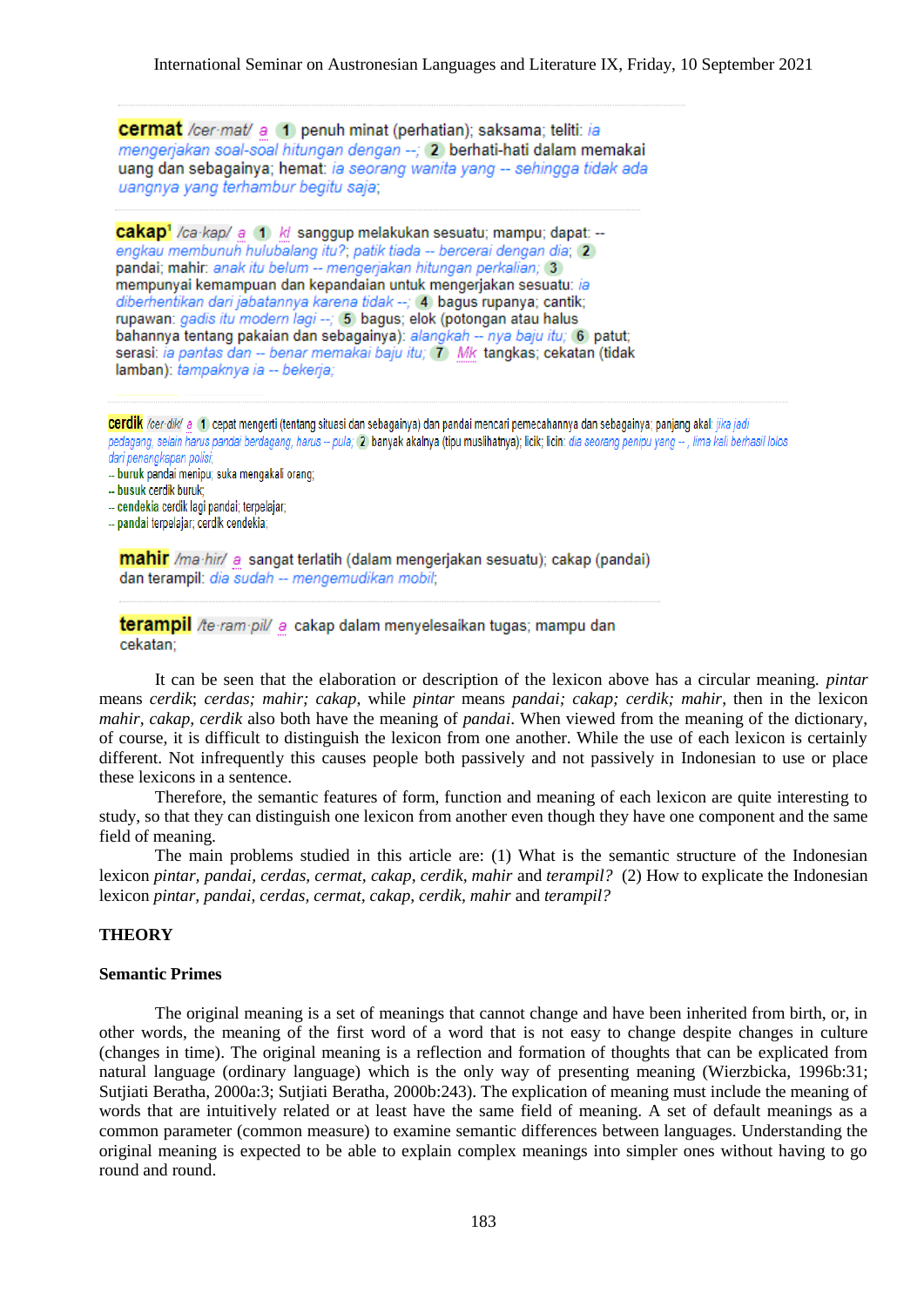**cermat** /cer·mat/ a 1 penuh minat (perhatian): saksama: teliti: ia mengerjakan soal-soal hitungan dengan --; 2 berhati-hati dalam memakai uang dan sebagainya; hemat: ia seorang wanita yang -- sehingga tidak ada uangnya yang terhambur begitu saja;

cakap<sup>1</sup> /ca·kap/ a (1) k/ sanggup melakukan sesuatu; mampu; dapat: -engkau membunuh hulubalang itu?, patik tiada -- bercerai dengan dia, 2 pandai; mahir: anak itu belum -- mengerjakan hitungan perkalian; 3 mempunyai kemampuan dan kepandaian untuk mengerjakan sesuatu: ia diberhentikan dari jabatannya karena tidak --; 4 bagus rupanya; cantik; rupawan: gadis itu modern lagi --; (5) bagus; elok (potongan atau halus bahannya tentang pakaian dan sebagainya): alangkah -- nya baju itu: 6 patut: serasi: ia pantas dan -- benar memakai baju itu; 7) Mk tangkas; cekatan (tidak lamban): tampaknya ia -- bekeria:

cerdik /cer-dik/ a 11 cepat mengerti (tentang situasi dan sebagainya) dan pandai mencari pemecahannya dan sebagainya; panjang akal; jika jadi pedagang, selain harus pandai berdagang, harus -- pula; 2) banyak akalnya (tipu muslihatnya); licik; licin: dia seorang penipu yang --, lima kali berhasil lolos dari penangkapan polisi:

- -- buruk pandai menipu; suka mengakali orang;
- -- busuk cerdik buruk;
- -- cendekia cerdik lagi pandai; terpelajar;
- -- pandai terpelajar; cerdik cendekia;

mahir /ma·hir/ a sangat terlatih (dalam mengerjakan sesuatu); cakap (pandai) dan terampil: dia sudah -- mengemudikan mobil:

terampil /te-ram-pil/ a cakap dalam menyelesaikan tugas; mampu dan cekatan:

It can be seen that the elaboration or description of the lexicon above has a circular meaning. *pintar* means *cerdik*; *cerdas; mahir; cakap*, while *pintar* means *pandai; cakap; cerdik; mahir*, then in the lexicon *mahir, cakap, cerdik* also both have the meaning of *pandai*. When viewed from the meaning of the dictionary, of course, it is difficult to distinguish the lexicon from one another. While the use of each lexicon is certainly different. Not infrequently this causes people both passively and not passively in Indonesian to use or place these lexicons in a sentence.

Therefore, the semantic features of form, function and meaning of each lexicon are quite interesting to study, so that they can distinguish one lexicon from another even though they have one component and the same field of meaning.

The main problems studied in this article are: (1) What is the semantic structure of the Indonesian lexicon *pintar, pandai, cerdas, cermat, cakap, cerdik, mahir* and *terampil?* (2) How to explicate the Indonesian lexicon *pintar, pandai, cerdas, cermat, cakap, cerdik, mahir* and *terampil?*

#### **THEORY**

#### **Semantic Primes**

The original meaning is a set of meanings that cannot change and have been inherited from birth, or, in other words, the meaning of the first word of a word that is not easy to change despite changes in culture (changes in time). The original meaning is a reflection and formation of thoughts that can be explicated from natural language (ordinary language) which is the only way of presenting meaning (Wierzbicka, 1996b:31; Sutjiati Beratha, 2000a:3; Sutjiati Beratha, 2000b:243). The explication of meaning must include the meaning of words that are intuitively related or at least have the same field of meaning. A set of default meanings as a common parameter (common measure) to examine semantic differences between languages. Understanding the original meaning is expected to be able to explain complex meanings into simpler ones without having to go round and round.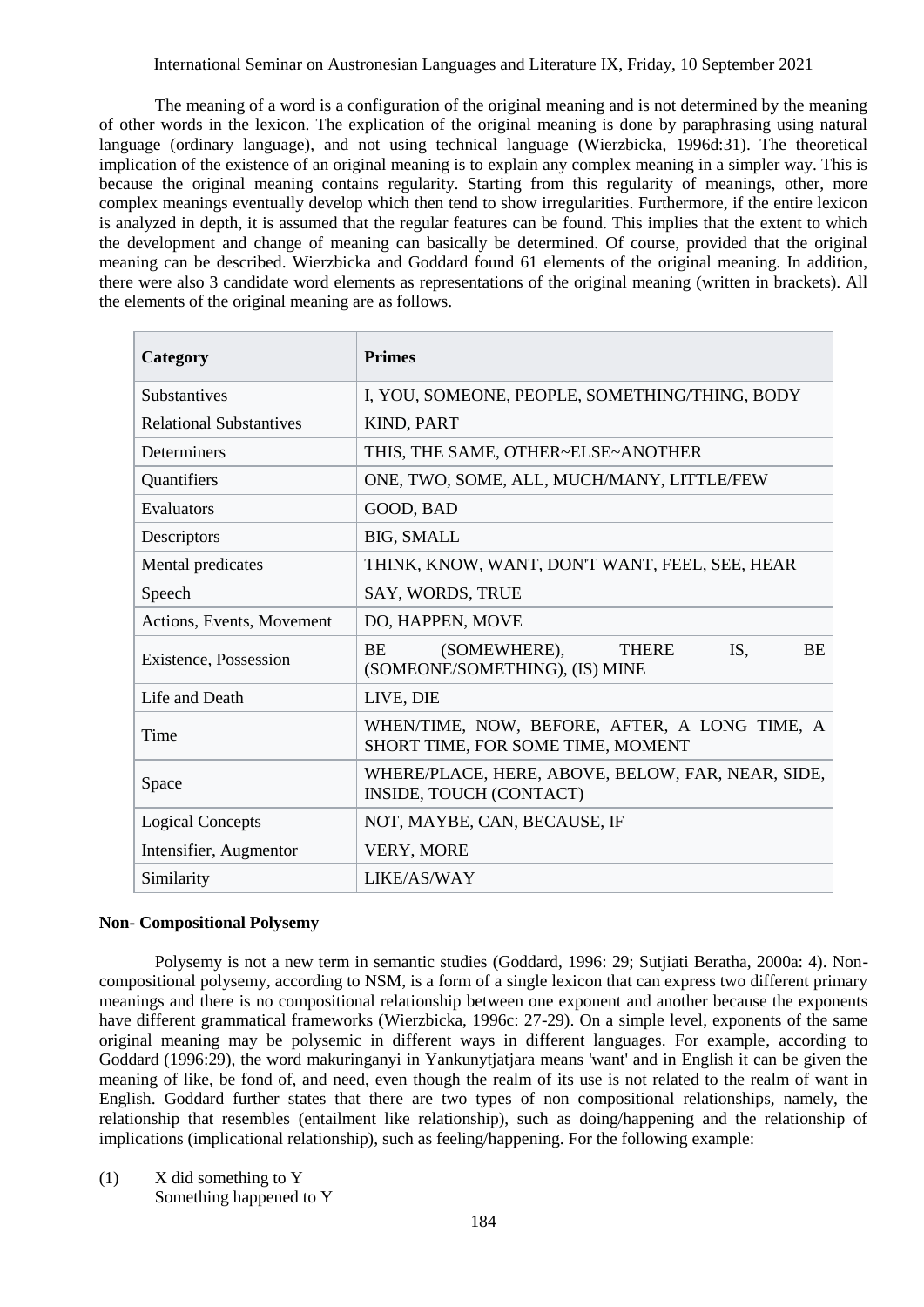The meaning of a word is a configuration of the original meaning and is not determined by the meaning of other words in the lexicon. The explication of the original meaning is done by paraphrasing using natural language (ordinary language), and not using technical language (Wierzbicka, 1996d:31). The theoretical implication of the existence of an original meaning is to explain any complex meaning in a simpler way. This is because the original meaning contains regularity. Starting from this regularity of meanings, other, more complex meanings eventually develop which then tend to show irregularities. Furthermore, if the entire lexicon is analyzed in depth, it is assumed that the regular features can be found. This implies that the extent to which the development and change of meaning can basically be determined. Of course, provided that the original meaning can be described. Wierzbicka and Goddard found 61 elements of the original meaning. In addition, there were also 3 candidate word elements as representations of the original meaning (written in brackets). All the elements of the original meaning are as follows.

| Category                       | <b>Primes</b>                                                                                   |
|--------------------------------|-------------------------------------------------------------------------------------------------|
| <b>Substantives</b>            | I, YOU, SOMEONE, PEOPLE, SOMETHING/THING, BODY                                                  |
| <b>Relational Substantives</b> | <b>KIND, PART</b>                                                                               |
| <b>Determiners</b>             | THIS, THE SAME, OTHER~ELSE~ANOTHER                                                              |
| Quantifiers                    | ONE, TWO, SOME, ALL, MUCH/MANY, LITTLE/FEW                                                      |
| Evaluators                     | GOOD, BAD                                                                                       |
| Descriptors                    | <b>BIG, SMALL</b>                                                                               |
| Mental predicates              | THINK, KNOW, WANT, DON'T WANT, FEEL, SEE, HEAR                                                  |
| Speech                         | SAY, WORDS, TRUE                                                                                |
| Actions, Events, Movement      | DO, HAPPEN, MOVE                                                                                |
| Existence, Possession          | (SOMEWHERE),<br>IS,<br><b>BE</b><br><b>THERE</b><br><b>BE</b><br>(SOMEONE/SOMETHING), (IS) MINE |
| Life and Death                 | LIVE, DIE                                                                                       |
| Time                           | WHEN/TIME, NOW, BEFORE, AFTER, A LONG TIME, A<br>SHORT TIME, FOR SOME TIME, MOMENT              |
| Space                          | WHERE/PLACE, HERE, ABOVE, BELOW, FAR, NEAR, SIDE,<br>INSIDE, TOUCH (CONTACT)                    |
| <b>Logical Concepts</b>        | NOT, MAYBE, CAN, BECAUSE, IF                                                                    |
| Intensifier, Augmentor         | <b>VERY, MORE</b>                                                                               |
| Similarity                     | LIKE/AS/WAY                                                                                     |

#### **Non- Compositional Polysemy**

Polysemy is not a new term in semantic studies (Goddard, 1996: 29; Sutjiati Beratha, 2000a: 4). Noncompositional polysemy, according to NSM, is a form of a single lexicon that can express two different primary meanings and there is no compositional relationship between one exponent and another because the exponents have different grammatical frameworks (Wierzbicka, 1996c: 27-29). On a simple level, exponents of the same original meaning may be polysemic in different ways in different languages. For example, according to Goddard (1996:29), the word makuringanyi in Yankunytjatjara means 'want' and in English it can be given the meaning of like, be fond of, and need, even though the realm of its use is not related to the realm of want in English. Goddard further states that there are two types of non compositional relationships, namely, the relationship that resembles (entailment like relationship), such as doing/happening and the relationship of implications (implicational relationship), such as feeling/happening. For the following example:

(1) X did something to Y Something happened to Y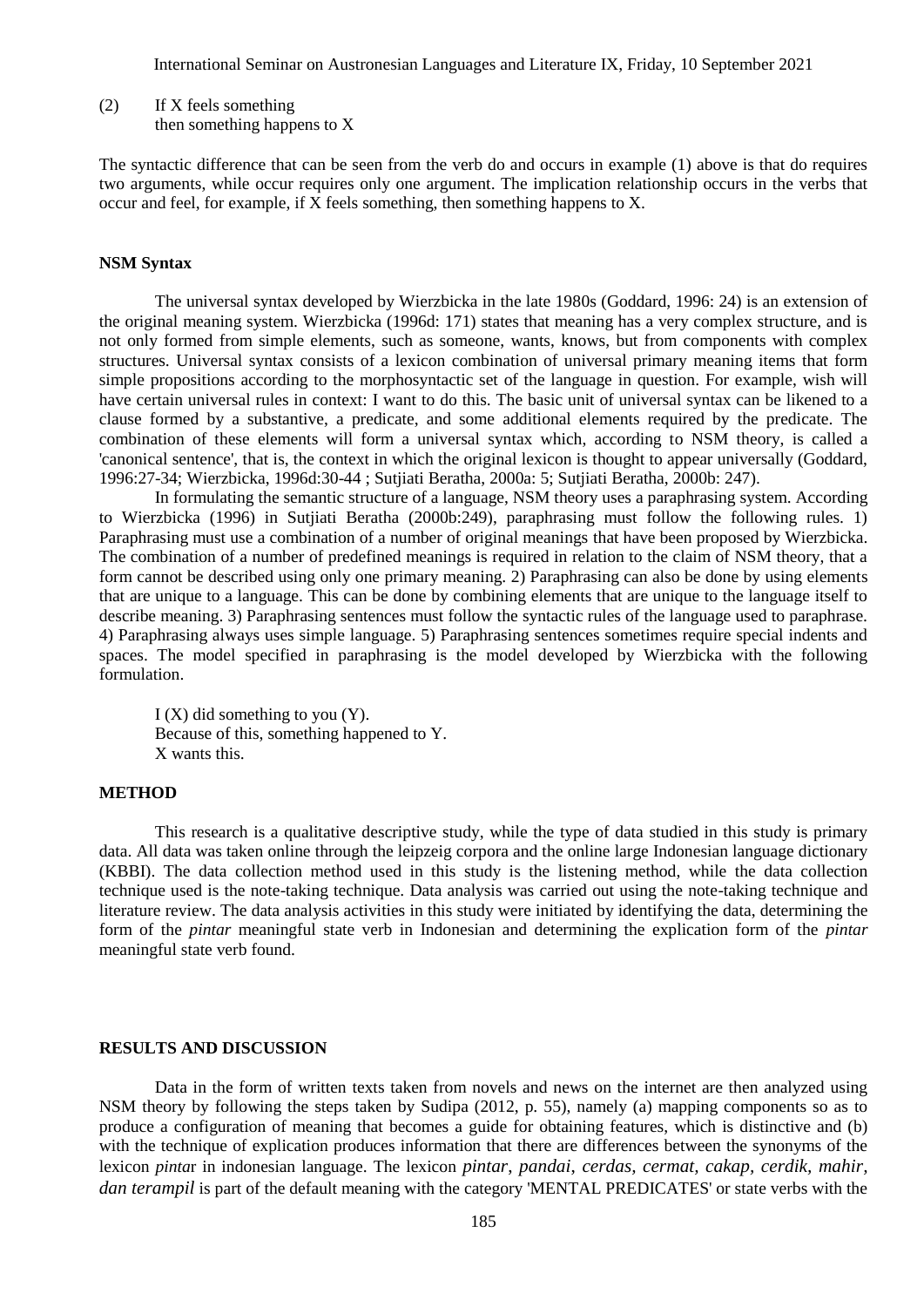(2) If X feels something then something happens to X

The syntactic difference that can be seen from the verb do and occurs in example (1) above is that do requires two arguments, while occur requires only one argument. The implication relationship occurs in the verbs that occur and feel, for example, if X feels something, then something happens to X.

#### **NSM Syntax**

The universal syntax developed by Wierzbicka in the late 1980s (Goddard, 1996: 24) is an extension of the original meaning system. Wierzbicka (1996d: 171) states that meaning has a very complex structure, and is not only formed from simple elements, such as someone, wants, knows, but from components with complex structures. Universal syntax consists of a lexicon combination of universal primary meaning items that form simple propositions according to the morphosyntactic set of the language in question. For example, wish will have certain universal rules in context: I want to do this. The basic unit of universal syntax can be likened to a clause formed by a substantive, a predicate, and some additional elements required by the predicate. The combination of these elements will form a universal syntax which, according to NSM theory, is called a 'canonical sentence', that is, the context in which the original lexicon is thought to appear universally (Goddard, 1996:27-34; Wierzbicka, 1996d:30-44 ; Sutjiati Beratha, 2000a: 5; Sutjiati Beratha, 2000b: 247).

In formulating the semantic structure of a language, NSM theory uses a paraphrasing system. According to Wierzbicka (1996) in Sutjiati Beratha (2000b:249), paraphrasing must follow the following rules. 1) Paraphrasing must use a combination of a number of original meanings that have been proposed by Wierzbicka. The combination of a number of predefined meanings is required in relation to the claim of NSM theory, that a form cannot be described using only one primary meaning. 2) Paraphrasing can also be done by using elements that are unique to a language. This can be done by combining elements that are unique to the language itself to describe meaning. 3) Paraphrasing sentences must follow the syntactic rules of the language used to paraphrase. 4) Paraphrasing always uses simple language. 5) Paraphrasing sentences sometimes require special indents and spaces. The model specified in paraphrasing is the model developed by Wierzbicka with the following formulation.

I (X) did something to you (Y). Because of this, something happened to Y. X wants this.

#### **METHOD**

This research is a qualitative descriptive study, while the type of data studied in this study is primary data. All data was taken online through the leipzeig corpora and the online large Indonesian language dictionary (KBBI). The data collection method used in this study is the listening method, while the data collection technique used is the note-taking technique. Data analysis was carried out using the note-taking technique and literature review. The data analysis activities in this study were initiated by identifying the data, determining the form of the *pintar* meaningful state verb in Indonesian and determining the explication form of the *pintar* meaningful state verb found.

#### **RESULTS AND DISCUSSION**

Data in the form of written texts taken from novels and news on the internet are then analyzed using NSM theory by following the steps taken by Sudipa (2012, p. 55), namely (a) mapping components so as to produce a configuration of meaning that becomes a guide for obtaining features, which is distinctive and (b) with the technique of explication produces information that there are differences between the synonyms of the lexicon *pinta*r in indonesian language. The lexicon *pintar*, *pandai*, *cerdas, cermat, cakap, cerdik, mahir, dan terampil* is part of the default meaning with the category 'MENTAL PREDICATES' or state verbs with the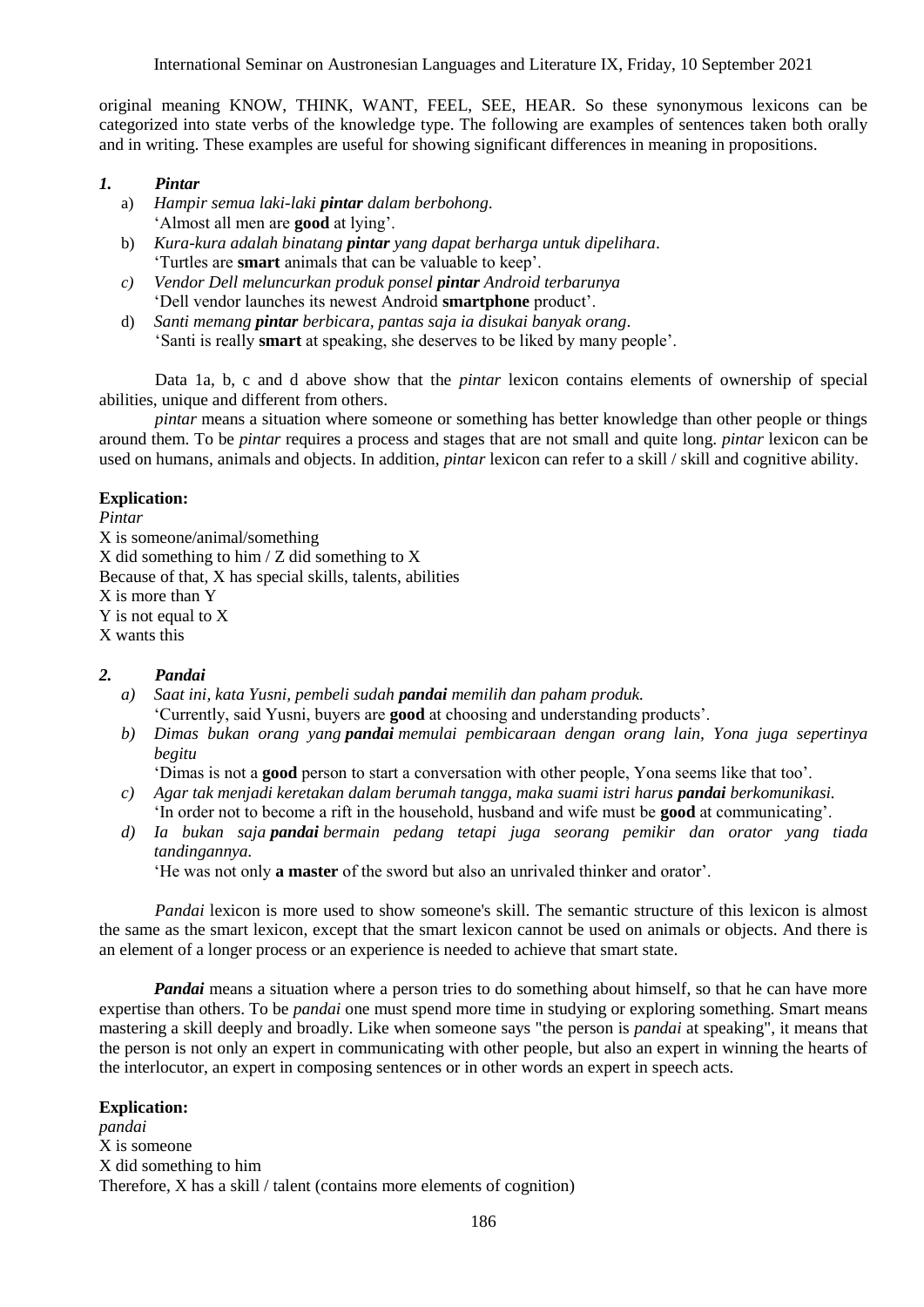original meaning KNOW, THINK, WANT, FEEL, SEE, HEAR. So these synonymous lexicons can be categorized into state verbs of the knowledge type. The following are examples of sentences taken both orally and in writing. These examples are useful for showing significant differences in meaning in propositions.

## *1. Pintar*

- a) *Hampir semua laki-laki pintar dalam berbohong*. 'Almost all men are **good** at lying'.
- b) *Kura-kura adalah binatang pintar yang dapat berharga untuk dipelihara*. 'Turtles are **smart** animals that can be valuable to keep'.
- *c) Vendor Dell meluncurkan produk ponsel pintar Android terbarunya* 'Dell vendor launches its newest Android **smartphone** product'.
- d) *Santi memang pintar berbicara, pantas saja ia disukai banyak orang*. 'Santi is really **smart** at speaking, she deserves to be liked by many people'.

Data 1a, b, c and d above show that the *pintar* lexicon contains elements of ownership of special abilities, unique and different from others.

*pintar* means a situation where someone or something has better knowledge than other people or things around them. To be *pintar* requires a process and stages that are not small and quite long. *pintar* lexicon can be used on humans, animals and objects. In addition, *pintar* lexicon can refer to a skill / skill and cognitive ability.

## **Explication:**

*Pintar* X is someone/animal/something X did something to him / Z did something to X Because of that, X has special skills, talents, abilities X is more than Y Y is not equal to X X wants this

#### *2. Pandai*

- *a) Saat ini, kata Yusni, pembeli sudah pandai memilih dan paham produk.* 'Currently, said Yusni, buyers are **good** at choosing and understanding products'.
- *b) Dimas bukan orang yang pandai memulai pembicaraan dengan orang lain, Yona juga sepertinya begitu*

'Dimas is not a **good** person to start a conversation with other people, Yona seems like that too'.

- *c) Agar tak menjadi keretakan dalam berumah tangga, maka suami istri harus pandai berkomunikasi.* 'In order not to become a rift in the household, husband and wife must be **good** at communicating'.
- *d) Ia bukan saja pandai bermain pedang tetapi juga seorang pemikir dan orator yang tiada tandingannya.*

'He was not only **a master** of the sword but also an unrivaled thinker and orator'.

*Pandai* lexicon is more used to show someone's skill. The semantic structure of this lexicon is almost the same as the smart lexicon, except that the smart lexicon cannot be used on animals or objects. And there is an element of a longer process or an experience is needed to achieve that smart state.

*Pandai* means a situation where a person tries to do something about himself, so that he can have more expertise than others. To be *pandai* one must spend more time in studying or exploring something. Smart means mastering a skill deeply and broadly. Like when someone says "the person is *pandai* at speaking", it means that the person is not only an expert in communicating with other people, but also an expert in winning the hearts of the interlocutor, an expert in composing sentences or in other words an expert in speech acts.

## **Explication:**

*pandai* X is someone X did something to him Therefore, X has a skill / talent (contains more elements of cognition)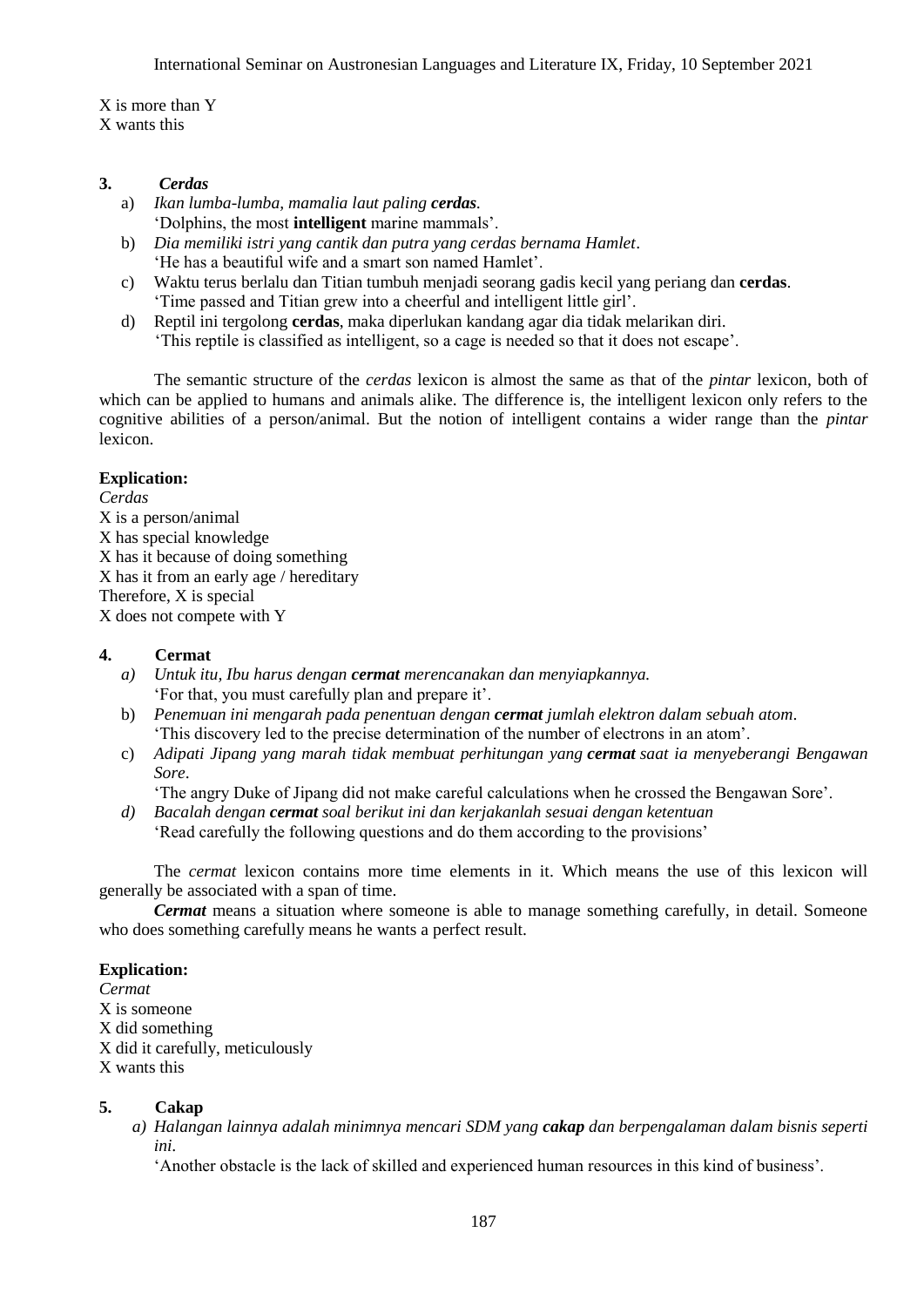X is more than Y X wants this

## **3.** *Cerdas*

- a) *Ikan lumba-lumba, mamalia laut paling cerdas.* 'Dolphins, the most **intelligent** marine mammals'.
- b) *Dia memiliki istri yang cantik dan putra yang cerdas bernama Hamlet*. 'He has a beautiful wife and a smart son named Hamlet'.
- c) Waktu terus berlalu dan Titian tumbuh menjadi seorang gadis kecil yang periang dan **cerdas**. 'Time passed and Titian grew into a cheerful and intelligent little girl'.
- d) Reptil ini tergolong **cerdas**, maka diperlukan kandang agar dia tidak melarikan diri. 'This reptile is classified as intelligent, so a cage is needed so that it does not escape'.

The semantic structure of the *cerdas* lexicon is almost the same as that of the *pintar* lexicon, both of which can be applied to humans and animals alike. The difference is, the intelligent lexicon only refers to the cognitive abilities of a person/animal. But the notion of intelligent contains a wider range than the *pintar* lexicon.

## **Explication:**

*Cerdas* X is a person/animal X has special knowledge X has it because of doing something X has it from an early age / hereditary Therefore, X is special X does not compete with Y

## **4. Cermat**

- *a) Untuk itu, Ibu harus dengan cermat merencanakan dan menyiapkannya.* 'For that, you must carefully plan and prepare it'.
- b) *Penemuan ini mengarah pada penentuan dengan cermat jumlah elektron dalam sebuah atom*. 'This discovery led to the precise determination of the number of electrons in an atom'.
- c) *Adipati Jipang yang marah tidak membuat perhitungan yang cermat saat ia menyeberangi Bengawan Sore*.

'The angry Duke of Jipang did not make careful calculations when he crossed the Bengawan Sore'.

*d) Bacalah dengan cermat soal berikut ini dan kerjakanlah sesuai dengan ketentuan* 'Read carefully the following questions and do them according to the provisions'

The *cermat* lexicon contains more time elements in it. Which means the use of this lexicon will generally be associated with a span of time.

*Cermat* means a situation where someone is able to manage something carefully, in detail. Someone who does something carefully means he wants a perfect result.

## **Explication:**

*Cermat* X is someone X did something X did it carefully, meticulously X wants this

## **5. Cakap**

*a) Halangan lainnya adalah minimnya mencari SDM yang cakap dan berpengalaman dalam bisnis seperti ini.*

'Another obstacle is the lack of skilled and experienced human resources in this kind of business'.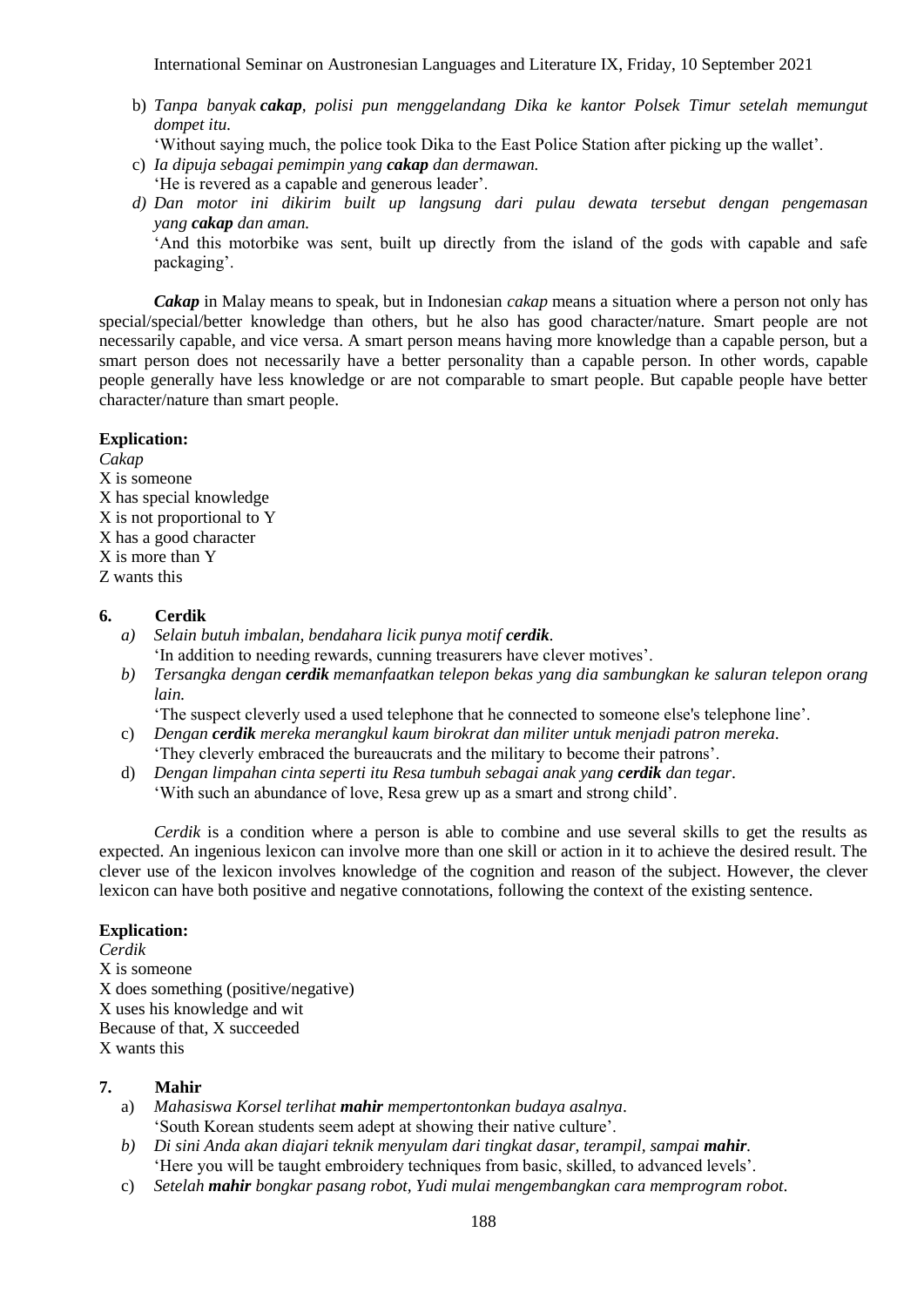b) *Tanpa banyak cakap, polisi pun menggelandang Dika ke kantor Polsek Timur setelah memungut dompet itu*.

'Without saying much, the police took Dika to the East Police Station after picking up the wallet'.

- c) *Ia dipuja sebagai pemimpin yang cakap dan dermawan.* 'He is revered as a capable and generous leader'.
- *d) Dan motor ini dikirim built up langsung dari pulau dewata tersebut dengan pengemasan yang cakap dan aman.*

'And this motorbike was sent, built up directly from the island of the gods with capable and safe packaging'.

*Cakap* in Malay means to speak, but in Indonesian *cakap* means a situation where a person not only has special/special/better knowledge than others, but he also has good character/nature. Smart people are not necessarily capable, and vice versa. A smart person means having more knowledge than a capable person, but a smart person does not necessarily have a better personality than a capable person. In other words, capable people generally have less knowledge or are not comparable to smart people. But capable people have better character/nature than smart people.

## **Explication:**

*Cakap* X is someone X has special knowledge X is not proportional to Y X has a good character X is more than Y Z wants this

## **6. Cerdik**

- *a) Selain butuh imbalan, bendahara licik punya motif cerdik.* 'In addition to needing rewards, cunning treasurers have clever motives'.
- *b) Tersangka dengan cerdik memanfaatkan telepon bekas yang dia sambungkan ke saluran telepon orang lain.*

'The suspect cleverly used a used telephone that he connected to someone else's telephone line'.

- c) *Dengan cerdik mereka merangkul kaum birokrat dan militer untuk menjadi patron mereka*.
- 'They cleverly embraced the bureaucrats and the military to become their patrons'. d) *Dengan limpahan cinta seperti itu Resa tumbuh sebagai anak yang cerdik dan tegar*.

'With such an abundance of love, Resa grew up as a smart and strong child'.

*Cerdik* is a condition where a person is able to combine and use several skills to get the results as expected. An ingenious lexicon can involve more than one skill or action in it to achieve the desired result. The clever use of the lexicon involves knowledge of the cognition and reason of the subject. However, the clever lexicon can have both positive and negative connotations, following the context of the existing sentence.

#### **Explication:**

*Cerdik* X is someone X does something (positive/negative) X uses his knowledge and wit Because of that, X succeeded X wants this

## **7. Mahir**

- a) *Mahasiswa Korsel terlihat mahir mempertontonkan budaya asalnya*. 'South Korean students seem adept at showing their native culture'.
- *b) Di sini Anda akan diajari teknik menyulam dari tingkat dasar, terampil, sampai mahir.* 'Here you will be taught embroidery techniques from basic, skilled, to advanced levels'.
- c) *Setelah mahir bongkar pasang robot, Yudi mulai mengembangkan cara memprogram robot*.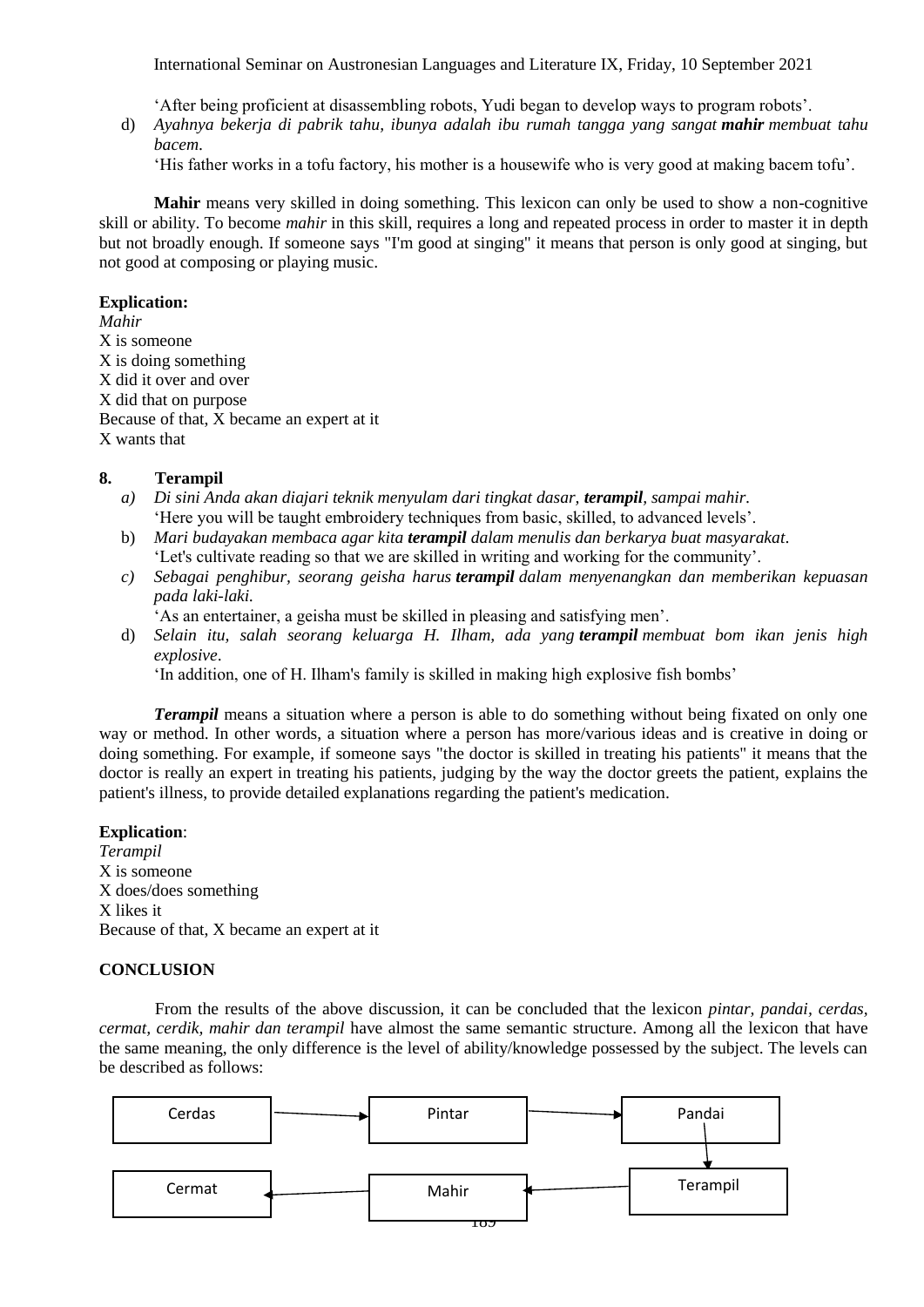'After being proficient at disassembling robots, Yudi began to develop ways to program robots'.

d) *Ayahnya bekerja di pabrik tahu, ibunya adalah ibu rumah tangga yang sangat mahir membuat tahu bacem*.

'His father works in a tofu factory, his mother is a housewife who is very good at making bacem tofu'.

**Mahir** means very skilled in doing something. This lexicon can only be used to show a non-cognitive skill or ability. To become *mahir* in this skill, requires a long and repeated process in order to master it in depth but not broadly enough. If someone says "I'm good at singing" it means that person is only good at singing, but not good at composing or playing music.

#### **Explication:**

*Mahir* X is someone X is doing something X did it over and over X did that on purpose Because of that, X became an expert at it X wants that

#### **8. Terampil**

- *a) Di sini Anda akan diajari teknik menyulam dari tingkat dasar, terampil, sampai mahir.* 'Here you will be taught embroidery techniques from basic, skilled, to advanced levels'.
- b) *Mari budayakan membaca agar kita terampil dalam menulis dan berkarya buat masyarakat*. 'Let's cultivate reading so that we are skilled in writing and working for the community'.
- *c) Sebagai penghibur, seorang geisha harus terampil dalam menyenangkan dan memberikan kepuasan pada laki-laki.*

'As an entertainer, a geisha must be skilled in pleasing and satisfying men'.

d) *Selain itu, salah seorang keluarga H. Ilham, ada yang terampil membuat bom ikan jenis high explosive*.

'In addition, one of H. Ilham's family is skilled in making high explosive fish bombs'

*Terampil* means a situation where a person is able to do something without being fixated on only one way or method. In other words, a situation where a person has more/various ideas and is creative in doing or doing something. For example, if someone says "the doctor is skilled in treating his patients" it means that the doctor is really an expert in treating his patients, judging by the way the doctor greets the patient, explains the patient's illness, to provide detailed explanations regarding the patient's medication.

#### **Explication**:

*Terampil* X is someone X does/does something X likes it Because of that, X became an expert at it

## **CONCLUSION**

From the results of the above discussion, it can be concluded that the lexicon *pintar, pandai, cerdas, cermat, cerdik, mahir dan terampil* have almost the same semantic structure. Among all the lexicon that have the same meaning, the only difference is the level of ability/knowledge possessed by the subject. The levels can be described as follows: